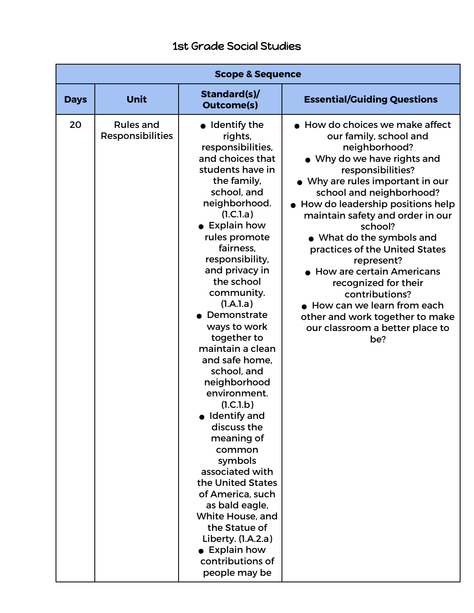## 1st Grade Social Studies

| <b>Scope &amp; Sequence</b> |                                      |                                                                                                                                                                                                                                                                                                                                                                                                                                                                                                                                                                                                                                                                                                                  |                                                                                                                                                                                                                                                                                                                                                                                                                                                                                                                                                              |  |  |
|-----------------------------|--------------------------------------|------------------------------------------------------------------------------------------------------------------------------------------------------------------------------------------------------------------------------------------------------------------------------------------------------------------------------------------------------------------------------------------------------------------------------------------------------------------------------------------------------------------------------------------------------------------------------------------------------------------------------------------------------------------------------------------------------------------|--------------------------------------------------------------------------------------------------------------------------------------------------------------------------------------------------------------------------------------------------------------------------------------------------------------------------------------------------------------------------------------------------------------------------------------------------------------------------------------------------------------------------------------------------------------|--|--|
| <b>Days</b>                 | Unit                                 | Standard(s)/<br><b>Outcome(s)</b>                                                                                                                                                                                                                                                                                                                                                                                                                                                                                                                                                                                                                                                                                | <b>Essential/Guiding Questions</b>                                                                                                                                                                                                                                                                                                                                                                                                                                                                                                                           |  |  |
| 20                          | <b>Rules and</b><br>Responsibilities | $\bullet$ Identify the<br>rights,<br>responsibilities,<br>and choices that<br>students have in<br>the family,<br>school, and<br>neighborhood.<br>(1.C.1.a)<br>• Explain how<br>rules promote<br>fairness.<br>responsibility,<br>and privacy in<br>the school<br>community.<br>(l.A.l.a)<br>Demonstrate<br>ways to work<br>together to<br>maintain a clean<br>and safe home,<br>school, and<br>neighborhood<br>environment.<br>(1.C.1.b)<br>Identify and<br>discuss the<br>meaning of<br>common<br>symbols<br>associated with<br>the United States<br>of America, such<br>as bald eagle,<br>White House, and<br>the Statue of<br>Liberty. (1.A.2.a)<br>$\bullet$ Explain how<br>contributions of<br>people may be | • How do choices we make affect<br>our family, school and<br>neighborhood?<br>• Why do we have rights and<br>responsibilities?<br>• Why are rules important in our<br>school and neighborhood?<br>• How do leadership positions help<br>maintain safety and order in our<br>school?<br>• What do the symbols and<br>practices of the United States<br>represent?<br>$\bullet$ How are certain Americans<br>recognized for their<br>contributions?<br>How can we learn from each<br>other and work together to make<br>our classroom a better place to<br>be? |  |  |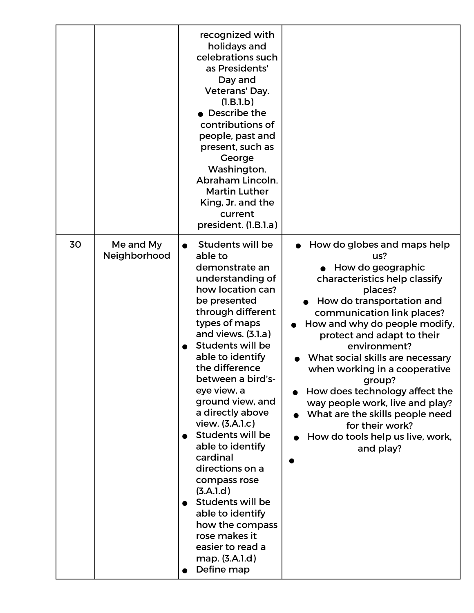|    |                           | recognized with<br>holidays and<br>celebrations such<br>as Presidents'<br>Day and<br>Veterans' Day.<br>(I.B.1.b)<br>Describe the<br>contributions of<br>people, past and<br>present, such as<br>George<br>Washington,<br>Abraham Lincoln.<br><b>Martin Luther</b><br>King, Jr. and the<br>current<br>president. (1.B.1.a)                                                                                                                                                                                                                                                           |                                                                                                                                                                                                                                                                                                                                                                                                                                                                                                          |
|----|---------------------------|-------------------------------------------------------------------------------------------------------------------------------------------------------------------------------------------------------------------------------------------------------------------------------------------------------------------------------------------------------------------------------------------------------------------------------------------------------------------------------------------------------------------------------------------------------------------------------------|----------------------------------------------------------------------------------------------------------------------------------------------------------------------------------------------------------------------------------------------------------------------------------------------------------------------------------------------------------------------------------------------------------------------------------------------------------------------------------------------------------|
| 30 | Me and My<br>Neighborhood | Students will be<br>able to<br>demonstrate an<br>understanding of<br>how location can<br>be presented<br>through different<br>types of maps<br>and views. (3.1.a)<br><b>Students will be</b><br>able to identify<br>the difference<br>between a bird's-<br>eye view, a<br>ground view, and<br>a directly above<br>view. (3.A.1.c)<br><b>Students will be</b><br>able to identify<br>cardinal<br>directions on a<br>compass rose<br>(3.A.1.d)<br><b>Students will be</b><br>able to identify<br>how the compass<br>rose makes it<br>easier to read a<br>map. (3.A.1.d)<br>Define map | How do globes and maps help<br>us?<br>How do geographic<br>characteristics help classify<br>places?<br>How do transportation and<br>communication link places?<br>How and why do people modify,<br>protect and adapt to their<br>environment?<br>What social skills are necessary<br>when working in a cooperative<br>group?<br>How does technology affect the<br>way people work, live and play?<br>What are the skills people need<br>for their work?<br>How do tools help us live, work,<br>and play? |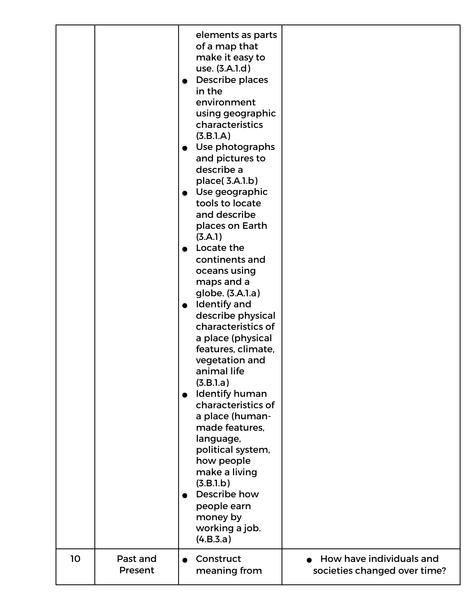| 10 | Past and | elements as parts<br>of a map that<br>make it easy to<br>use. (3.A.1.d)<br>Describe places<br>$\bullet$<br>in the<br>environment<br>using geographic<br>characteristics<br>(3.B.1.A)<br>• Use photographs<br>and pictures to<br>describe a<br>place(3.A.1.b)<br>• Use geographic<br>tools to locate<br>and describe<br>places on Earth<br>(3.A.1)<br>Locate the<br>continents and<br>oceans using<br>maps and a<br>globe. (3.A.1.a)<br>• Identify and<br>describe physical<br>characteristics of<br>a place (physical<br>features, climate,<br>vegetation and<br>animal life<br>(3.B.1.a)<br><b>Identify human</b><br>$\bullet$<br>characteristics of<br>a place (human-<br>made features,<br>language,<br>political system,<br>how people<br>make a living<br>(3.B.1.b)<br>Describe how<br>people earn<br>money by<br>working a job.<br>(4.B.3.a)<br>Construct | How have individuals and     |
|----|----------|-----------------------------------------------------------------------------------------------------------------------------------------------------------------------------------------------------------------------------------------------------------------------------------------------------------------------------------------------------------------------------------------------------------------------------------------------------------------------------------------------------------------------------------------------------------------------------------------------------------------------------------------------------------------------------------------------------------------------------------------------------------------------------------------------------------------------------------------------------------------|------------------------------|
|    | Present  | meaning from                                                                                                                                                                                                                                                                                                                                                                                                                                                                                                                                                                                                                                                                                                                                                                                                                                                    | societies changed over time? |